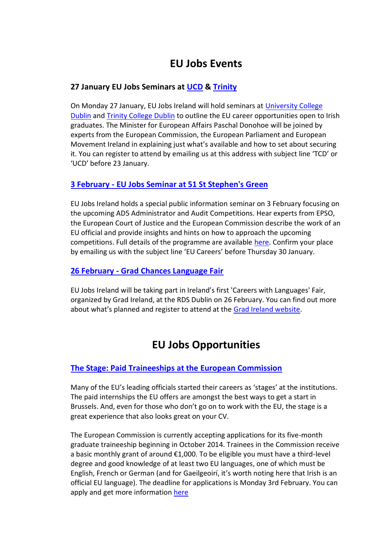# **EU Jobs Events**

# **27 January EU Jobs Seminars at [UCD](http://www.ucd.ie/careers/events/) & [Trinity](https://www.tcd.ie/Careers/events/event.php?eventID=1526)**

On Monday 27 January, EU Jobs Ireland will hold seminars at [University College](http://www.ucd.ie/careers/events/)  [Dublin](http://www.ucd.ie/careers/events/) and [Trinity College Dublin](https://www.tcd.ie/Careers/events/event.php?eventID=1526) to outline the EU career opportunities open to Irish graduates. The Minister for European Affairs Paschal Donohoe will be joined by experts from the European Commission, the European Parliament and European Movement Ireland in explaining just what's available and how to set about securing it. You can register to attend by emailing us at this address with subject line 'TCD' or 'UCD' before 23 January.

# **3 February - [EU Jobs Seminar at 51 St Stephen's Green](http://ec.europa.eu/ireland/events/index1_en.htm)**

EU Jobs Ireland holds a special public information seminar on 3 February focusing on the upcoming AD5 Administrator and Audit Competitions. Hear experts from EPSO, the European Court of Justice and the European Commission describe the work of an EU official and provide insights and hints on how to approach the upcoming competitions. Full details of the programme are available [here.](http://ec.europa.eu/ireland/events/index1_en.htm) Confirm your place by emailing us with the subject line 'EU Careers' before Thursday 30 January.

#### **26 February - [Grad Chances Language Fair](http://gradireland.com/events/234044)**

EU Jobs Ireland will be taking part in Ireland's first 'Careers with Languages' Fair, organized by Grad Ireland, at the RDS Dublin on 26 February. You can find out more about what's planned and register to attend at the [Grad Ireland website.](http://gradireland.com/events/234044)

# **EU Jobs Opportunities**

# **[The Stage: Paid Traineeships at the European Commission](http://ec.europa.eu/stages/)**

Many of the EU's leading officials started their careers as 'stages' at the institutions. The paid internships the EU offers are amongst the best ways to get a start in Brussels. And, even for those who don't go on to work with the EU, the stage is a great experience that also looks great on your CV.

The European Commission is currently accepting applications for its five-month graduate traineeship beginning in October 2014. Trainees in the Commission receive a basic monthly grant of around €1,000. To be eligible you must have a third-level degree and good knowledge of at least two EU languages, one of which must be English, French or German (and for Gaeilgeoirí, it's worth noting here that Irish is an official EU language). The deadline for applications is Monday 3rd February. You can apply and get more information [here](http://ec.europa.eu/stages)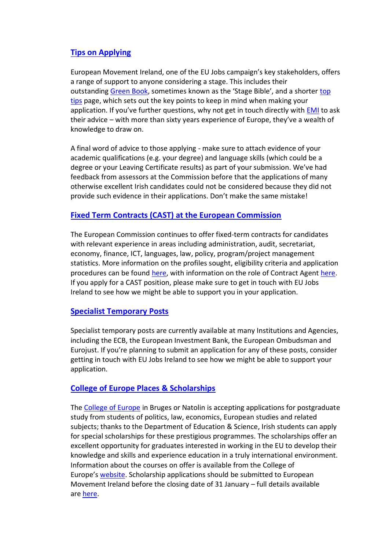# **[Tips on Applying](http://www.europeanmovement.ie/green-book-vii/)**

European Movement Ireland, one of the EU Jobs campaign's key stakeholders, offers a range of support to anyone considering a stage. This includes their outstanding [Green Book](http://www.europeanmovement.ie/green-book-vii/), sometimes known as the 'Stage Bible', and a shorter [top](http://www.europeanmovement.ie/wp-content/uploads/2012/09/EM-Ireland-Grad-Jobs-in-Europe.pdf)  [tips](http://www.europeanmovement.ie/wp-content/uploads/2012/09/EM-Ireland-Grad-Jobs-in-Europe.pdf) page, which sets out the key points to keep in mind when making your application. If you've further questions, why not get in touch directly with **[EMI](http://www.europeanmovement.ie/)** to ask their advice – with more than sixty years experience of Europe, they've a wealth of knowledge to draw on.

A final word of advice to those applying - make sure to attach evidence of your academic qualifications (e.g. your degree) and language skills (which could be a degree or your Leaving Certificate results) as part of your submission. We've had feedback from assessors at the Commission before that the applications of many otherwise excellent Irish candidates could not be considered because they did not provide such evidence in their applications. Don't make the same mistake!

#### **[Fixed Term Contracts \(CAST\) at the European Commission](http://http/ec.europa.eu/civil_service/docs/call_contract_agents/call_for_contract_agents_en.pdf)**

The European Commission continues to offer fixed-term contracts for candidates with relevant experience in areas including administration, audit, secretariat, economy, finance, ICT, languages, law, policy, program/project management statistics. More information on the profiles sought, eligibility criteria and application procedures can be found [here,](http://ec.europa.eu/civil_service/docs/call_contract_agents/call_for_contract_agents_en.pdf) with information on the role of Contract Agent [here.](http://ec.europa.eu/civil_service/job/contract/index_en.htm) If you apply for a CAST position, please make sure to get in touch with EU Jobs Ireland to see how we might be able to support you in your application.

#### **[Specialist Temporary Posts](http://europa.eu/epso/apply/jobs/temp/index_en.htm)**

Specialist temporary posts are currently available at many Institutions and Agencies, including the ECB, the European Investment Bank, the European Ombudsman and Eurojust. If you're planning to submit an application for any of these posts, consider getting in touch with EU Jobs Ireland to see how we might be able to support your application.

# **[College of Europe Places & Scholarships](http://http/www.europeanmovement.ie/wp-content/uploads/2012/09/College-of-Europe-Application-Process-2014-20152.pdf)**

The [College of Europe](http://en.wikipedia.org/wiki/College_of_Europe) in Bruges or Natolin is accepting applications for postgraduate study from students of politics, law, economics, European studies and related subjects; thanks to the Department of Education & Science, Irish students can apply for special scholarships for these prestigious programmes. The scholarships offer an excellent opportunity for graduates interested in working in the EU to develop their knowledge and skills and experience education in a truly international environment. Information about the courses on offer is available from the College of Europe's [website.](http://www.coleurop.be/) Scholarship applications should be submitted to European Movement Ireland before the closing date of 31 January – full details available are [here.](http://www.europeanmovement.ie/wp-content/uploads/2012/09/College-of-Europe-Application-Process-2014-20152.pdf)